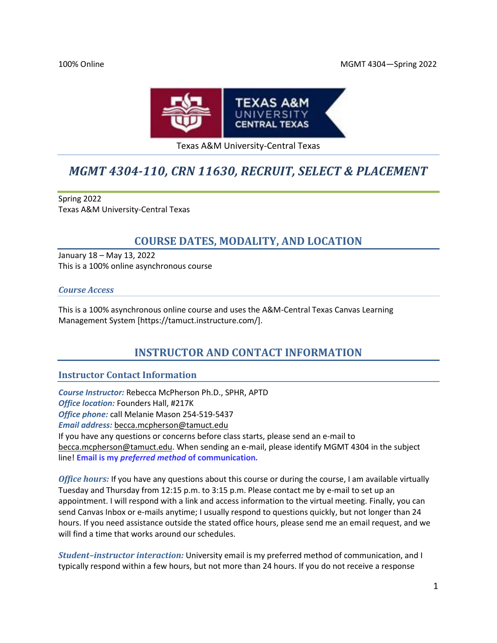#### 100% Online MGMT 4304—Spring 2022



### Texas A&M University-Central Texas

# *MGMT 4304-110, CRN 11630, RECRUIT, SELECT & PLACEMENT*

Spring 2022 Texas A&M University-Central Texas

# **COURSE DATES, MODALITY, AND LOCATION**

January 18 – May 13, 2022 This is a 100% online asynchronous course

### *Course Access*

This is a 100% asynchronous online course and uses the A&M-Central Texas Canvas Learning Management System [https://tamuct.instructure.com/].

# **INSTRUCTOR AND CONTACT INFORMATION**

# **Instructor Contact Information**

*Course Instructor:* Rebecca McPherson Ph.D., SPHR, APTD *Office location:* Founders Hall, #217K *Office phone:* call Melanie Mason 254-519-5437 *Email address:* [becca.mcpherson@tamuct.edu](mailto:becca.mcpherson@tamuct.edu) If you have any questions or concerns before class starts, please send an e-mail to [becca.mcpherson@tamuct.edu.](mailto:becca.mcpherson@tamuct.edu) When sending an e-mail, please identify MGMT 4304 in the subject line! **Email is my** *preferred method* **of communication.**

*Office hours:* If you have any questions about this course or during the course, I am available virtually Tuesday and Thursday from 12:15 p.m. to 3:15 p.m. Please contact me by e-mail to set up an appointment. I will respond with a link and access information to the virtual meeting. Finally, you can send Canvas Inbox or e-mails anytime; I usually respond to questions quickly, but not longer than 24 hours. If you need assistance outside the stated office hours, please send me an email request, and we will find a time that works around our schedules.

*Student–instructor interaction:* University email is my preferred method of communication, and I typically respond within a few hours, but not more than 24 hours. If you do not receive a response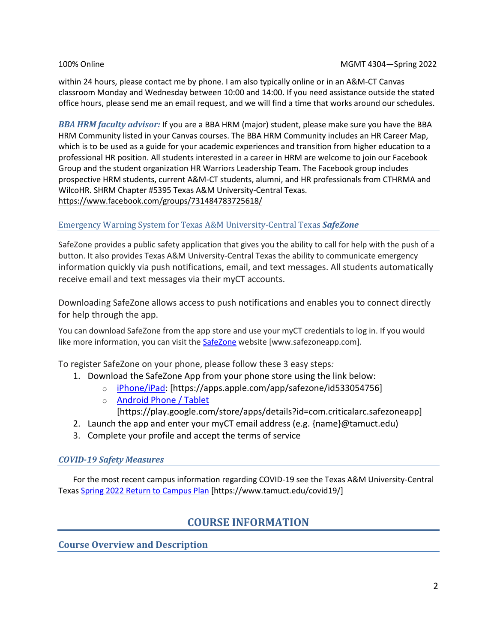within 24 hours, please contact me by phone. I am also typically online or in an A&M-CT Canvas classroom Monday and Wednesday between 10:00 and 14:00. If you need assistance outside the stated office hours, please send me an email request, and we will find a time that works around our schedules.

*BBA HRM faculty advisor:* If you are a BBA HRM (major) student, please make sure you have the BBA HRM Community listed in your Canvas courses. The BBA HRM Community includes an HR Career Map, which is to be used as a guide for your academic experiences and transition from higher education to a professional HR position. All students interested in a career in HRM are welcome to join our Facebook Group and the student organization HR Warriors Leadership Team. The Facebook group includes prospective HRM students, current A&M-CT students, alumni, and HR professionals from CTHRMA and WilcoHR. SHRM Chapter #5395 Texas A&M University-Central Texas. <https://www.facebook.com/groups/731484783725618/>

# Emergency Warning System for Texas A&M University-Central Texas *SafeZone*

SafeZone provides a public safety application that gives you the ability to call for help with the push of a button. It also provides Texas A&M University-Central Texas the ability to communicate emergency information quickly via push notifications, email, and text messages. All students automatically receive email and text messages via their myCT accounts.

Downloading SafeZone allows access to push notifications and enables you to connect directly for help through the app.

You can download SafeZone from the app store and use your myCT credentials to log in. If you would like more information, you can visit the [SafeZone](http://www.safezoneapp.com/) website [www.safezoneapp.com].

To register SafeZone on your phone, please follow these 3 easy steps*:*

- 1. Download the SafeZone App from your phone store using the link below:
	- o [iPhone/iPad:](https://apps.apple.com/app/safezone/id533054756) [https://apps.apple.com/app/safezone/id533054756]
	- o [Android Phone / Tablet](https://play.google.com/store/apps/details?id=com.criticalarc.safezoneapp) [https://play.google.com/store/apps/details?id=com.criticalarc.safezoneapp]
- 2. Launch the app and enter your myCT email address (e.g. {name}@tamuct.edu)
- 3. Complete your profile and accept the terms of service

### *COVID-19 Safety Measures*

For the most recent campus information regarding COVID-19 see the Texas A&M University-Central Texas Spring 2022 [Return to Campus Plan](https://www.tamuct.edu/covid19/) [https://www.tamuct.edu/covid19/]

# **COURSE INFORMATION**

**Course Overview and Description**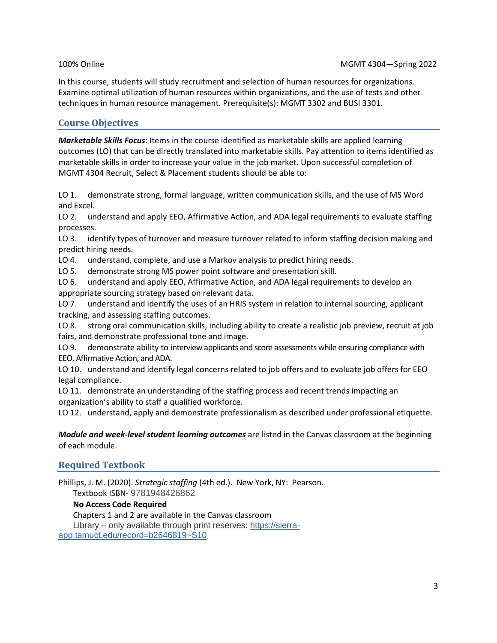In this course, students will study recruitment and selection of human resources for organizations. Examine optimal utilization of human resources within organizations, and the use of tests and other techniques in human resource management. Prerequisite(s): MGMT 3302 and BUSI 3301.

# **Course Objectives**

*Marketable Skills Focus*: Items in the course identified as marketable skills are applied learning outcomes (LO) that can be directly translated into marketable skills. Pay attention to items identified as marketable skills in order to increase your value in the job market. Upon successful completion of MGMT 4304 Recruit, Select & Placement students should be able to:

LO 1. demonstrate strong, formal language, written communication skills, and the use of MS Word and Excel.

LO 2. understand and apply EEO, Affirmative Action, and ADA legal requirements to evaluate staffing processes.

LO 3. identify types of turnover and measure turnover related to inform staffing decision making and predict hiring needs.

LO 4. understand, complete, and use a Markov analysis to predict hiring needs.

LO 5. demonstrate strong MS power point software and presentation skill.

LO 6. understand and apply EEO, Affirmative Action, and ADA legal requirements to develop an appropriate sourcing strategy based on relevant data.

LO 7. understand and identify the uses of an HRIS system in relation to internal sourcing, applicant tracking, and assessing staffing outcomes.

LO 8. strong oral communication skills, including ability to create a realistic job preview, recruit at job fairs, and demonstrate professional tone and image.

LO 9. demonstrate ability to interview applicants and score assessments while ensuring compliance with EEO, Affirmative Action, and ADA.

LO 10. understand and identify legal concerns related to job offers and to evaluate job offers for EEO legal compliance.

LO 11. demonstrate an understanding of the staffing process and recent trends impacting an organization's ability to staff a qualified workforce.

LO 12. understand, apply and demonstrate professionalism as described under professional etiquette.

*Module and week-level student learning outcomes* are listed in the Canvas classroom at the beginning of each module.

# **Required Textbook**

Phillips, J. M. (2020). *Strategic staffing* (4th ed.). New York, NY: Pearson.

Textbook ISBN- 9781948426862

# **No Access Code Required**

Chapters 1 and 2 are available in the Canvas classroom

Library – only available through print reserves: [https://sierra](https://sierra-app.tamuct.edu/record=b2646819~S10)[app.tamuct.edu/record=b2646819~S10](https://sierra-app.tamuct.edu/record=b2646819~S10)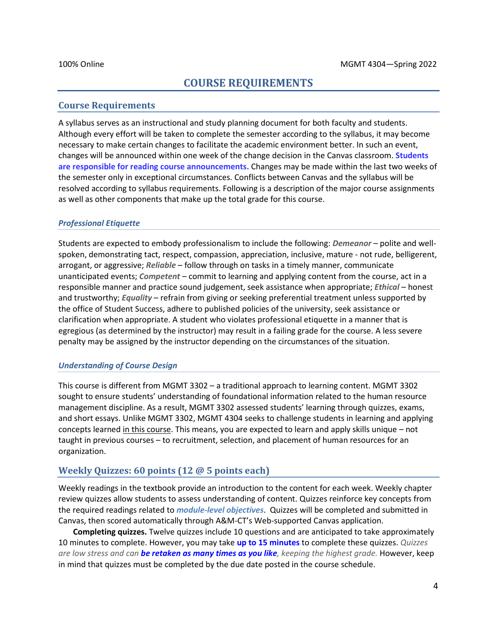# **COURSE REQUIREMENTS**

### **Course Requirements**

A syllabus serves as an instructional and study planning document for both faculty and students. Although every effort will be taken to complete the semester according to the syllabus, it may become necessary to make certain changes to facilitate the academic environment better. In such an event, changes will be announced within one week of the change decision in the Canvas classroom. **Students are responsible for reading course announcements.** Changes may be made within the last two weeks of the semester only in exceptional circumstances. Conflicts between Canvas and the syllabus will be resolved according to syllabus requirements. Following is a description of the major course assignments as well as other components that make up the total grade for this course.

#### *Professional Etiquette*

Students are expected to embody professionalism to include the following: *Demeanor* – polite and wellspoken, demonstrating tact, respect, compassion, appreciation, inclusive, mature - not rude, belligerent, arrogant, or aggressive; *Reliable* – follow through on tasks in a timely manner, communicate unanticipated events; *Competent* – commit to learning and applying content from the course, act in a responsible manner and practice sound judgement, seek assistance when appropriate; *Ethical* – honest and trustworthy; *Equality* – refrain from giving or seeking preferential treatment unless supported by the office of Student Success, adhere to published policies of the university, seek assistance or clarification when appropriate. A student who violates professional etiquette in a manner that is egregious (as determined by the instructor) may result in a failing grade for the course. A less severe penalty may be assigned by the instructor depending on the circumstances of the situation.

#### *Understanding of Course Design*

This course is different from MGMT 3302 – a traditional approach to learning content. MGMT 3302 sought to ensure students' understanding of foundational information related to the human resource management discipline. As a result, MGMT 3302 assessed students' learning through quizzes, exams, and short essays. Unlike MGMT 3302, MGMT 4304 seeks to challenge students in learning and applying concepts learned in this course. This means, you are expected to learn and apply skills unique – not taught in previous courses – to recruitment, selection, and placement of human resources for an organization.

# **Weekly Quizzes: 60 points (12 @ 5 points each)**

Weekly readings in the textbook provide an introduction to the content for each week. Weekly chapter review quizzes allow students to assess understanding of content. Quizzes reinforce key concepts from the required readings related to *module-level objectives*. Quizzes will be completed and submitted in Canvas, then scored automatically through A&M-CT's Web-supported Canvas application.

**Completing quizzes.** Twelve quizzes include 10 questions and are anticipated to take approximately 10 minutes to complete. However, you may take **up to 15 minutes** to complete these quizzes. *Quizzes are low stress and can be retaken as many times as you like, keeping the highest grade.* However, keep in mind that quizzes must be completed by the due date posted in the course schedule.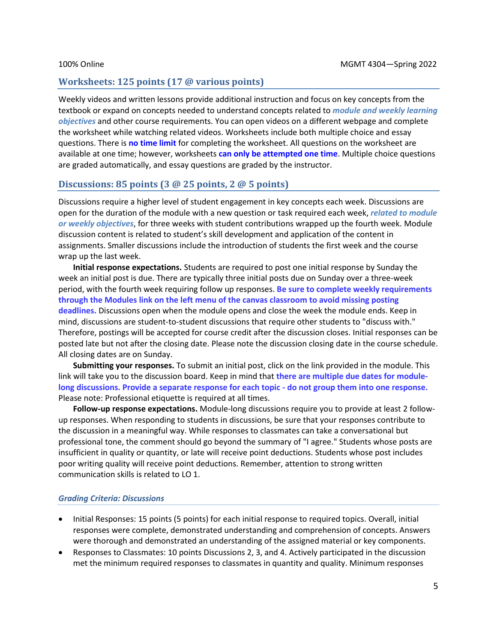#### **Worksheets: 125 points (17 @ various points)**

Weekly videos and written lessons provide additional instruction and focus on key concepts from the textbook or expand on concepts needed to understand concepts related to *module and weekly learning objectives* and other course requirements. You can open videos on a different webpage and complete the worksheet while watching related videos. Worksheets include both multiple choice and essay questions. There is **no time limit** for completing the worksheet. All questions on the worksheet are available at one time; however, worksheets **can only be attempted one time**. Multiple choice questions are graded automatically, and essay questions are graded by the instructor.

#### **Discussions: 85 points (3 @ 25 points, 2 @ 5 points)**

Discussions require a higher level of student engagement in key concepts each week. Discussions are open for the duration of the module with a new question or task required each week, *related to module or weekly objectives*, for three weeks with student contributions wrapped up the fourth week. Module discussion content is related to student's skill development and application of the content in assignments. Smaller discussions include the introduction of students the first week and the course wrap up the last week.

**Initial response expectations.** Students are required to post one initial response by Sunday the week an initial post is due. There are typically three initial posts due on Sunday over a three-week period, with the fourth week requiring follow up responses. **Be sure to complete weekly requirements through the Modules link on the left menu of the canvas classroom to avoid missing posting deadlines.** Discussions open when the module opens and close the week the module ends. Keep in mind, discussions are student-to-student discussions that require other students to "discuss with." Therefore, postings will be accepted for course credit after the discussion closes. Initial responses can be posted late but not after the closing date. Please note the discussion closing date in the course schedule. All closing dates are on Sunday.

**Submitting your responses.** To submit an initial post, click on the link provided in the module. This link will take you to the discussion board. Keep in mind that **there are multiple due dates for modulelong discussions. Provide a separate response for each topic - do not group them into one response.**  Please note: Professional etiquette is required at all times.

**Follow-up response expectations.** Module-long discussions require you to provide at least 2 followup responses. When responding to students in discussions, be sure that your responses contribute to the discussion in a meaningful way. While responses to classmates can take a conversational but professional tone, the comment should go beyond the summary of "I agree." Students whose posts are insufficient in quality or quantity, or late will receive point deductions. Students whose post includes poor writing quality will receive point deductions. Remember, attention to strong written communication skills is related to LO 1.

#### *Grading Criteria: Discussions*

- Initial Responses: 15 points (5 points) for each initial response to required topics. Overall, initial responses were complete, demonstrated understanding and comprehension of concepts. Answers were thorough and demonstrated an understanding of the assigned material or key components.
- Responses to Classmates: 10 points Discussions 2, 3, and 4. Actively participated in the discussion met the minimum required responses to classmates in quantity and quality. Minimum responses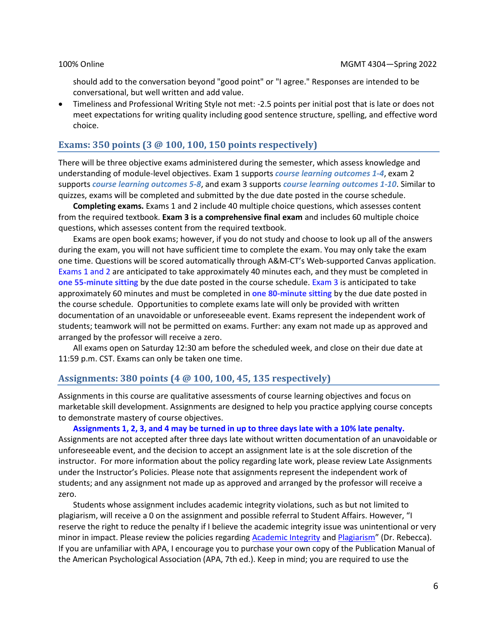should add to the conversation beyond "good point" or "I agree." Responses are intended to be conversational, but well written and add value.

• Timeliness and Professional Writing Style not met: -2.5 points per initial post that is late or does not meet expectations for writing quality including good sentence structure, spelling, and effective word choice.

#### **Exams: 350 points (3 @ 100, 100, 150 points respectively)**

There will be three objective exams administered during the semester, which assess knowledge and understanding of module-level objectives. Exam 1 supports *course learning outcomes 1-4*, exam 2 supports *course learning outcomes 5-8*, and exam 3 supports *course learning outcomes 1-10*. Similar to quizzes, exams will be completed and submitted by the due date posted in the course schedule.

**Completing exams.** Exams 1 and 2 include 40 multiple choice questions, which assesses content from the required textbook. **Exam 3 is a comprehensive final exam** and includes 60 multiple choice questions, which assesses content from the required textbook.

Exams are open book exams; however, if you do not study and choose to look up all of the answers during the exam, you will not have sufficient time to complete the exam. You may only take the exam one time. Questions will be scored automatically through A&M-CT's Web-supported Canvas application. Exams 1 and 2 are anticipated to take approximately 40 minutes each, and they must be completed in **one 55-minute sitting** by the due date posted in the course schedule. Exam 3 is anticipated to take approximately 60 minutes and must be completed in **one 80-minute sitting** by the due date posted in the course schedule. Opportunities to complete exams late will only be provided with written documentation of an unavoidable or unforeseeable event. Exams represent the independent work of students; teamwork will not be permitted on exams. Further: any exam not made up as approved and arranged by the professor will receive a zero.

All exams open on Saturday 12:30 am before the scheduled week, and close on their due date at 11:59 p.m. CST. Exams can only be taken one time.

#### **Assignments: 380 points (4 @ 100, 100, 45, 135 respectively)**

Assignments in this course are qualitative assessments of course learning objectives and focus on marketable skill development. Assignments are designed to help you practice applying course concepts to demonstrate mastery of course objectives.

**Assignments 1, 2, 3, and 4 may be turned in up to three days late with a 10% late penalty.** Assignments are not accepted after three days late without written documentation of an unavoidable or unforeseeable event, and the decision to accept an assignment late is at the sole discretion of the instructor. For more information about the policy regarding late work, please review Late Assignments under the Instructor's Policies. Please note that assignments represent the independent work of students; and any assignment not made up as approved and arranged by the professor will receive a zero.

Students whose assignment includes academic integrity violations, such as but not limited to plagiarism, will receive a 0 on the assignment and possible referral to Student Affairs. However, "I reserve the right to reduce the penalty if I believe the academic integrity issue was unintentional or very minor in impact. Please review the policies regarding Academic Integrity an[d Plagiarism](#page-26-0)" (Dr. Rebecca). If you are unfamiliar with APA, I encourage you to purchase your own copy of the Publication Manual of the American Psychological Association (APA, 7th ed.). Keep in mind; you are required to use the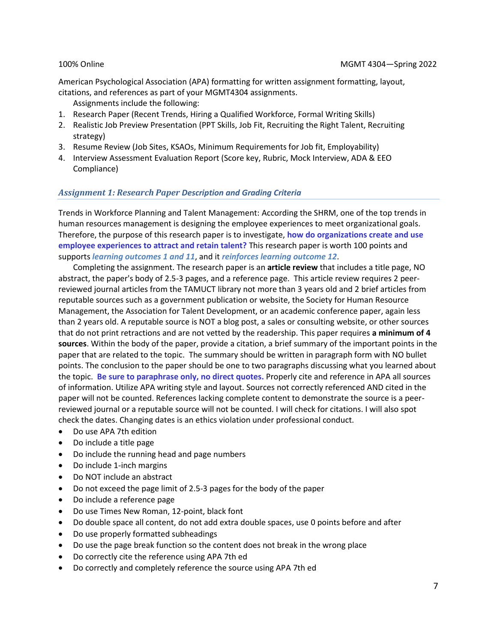American Psychological Association (APA) formatting for written assignment formatting, layout, citations, and references as part of your MGMT4304 assignments.

- Assignments include the following:
- 1. Research Paper (Recent Trends, Hiring a Qualified Workforce, Formal Writing Skills)
- 2. Realistic Job Preview Presentation (PPT Skills, Job Fit, Recruiting the Right Talent, Recruiting strategy)
- 3. Resume Review (Job Sites, KSAOs, Minimum Requirements for Job fit, Employability)
- 4. Interview Assessment Evaluation Report (Score key, Rubric, Mock Interview, ADA & EEO Compliance)

### *Assignment 1: Research Paper Description and Grading Criteria*

Trends in Workforce Planning and Talent Management: According the SHRM, one of the top trends in human resources management is designing the employee experiences to meet organizational goals. Therefore, the purpose of this research paper is to investigate, **how do organizations create and use employee experiences to attract and retain talent?** This research paper is worth 100 points and supports *learning outcomes 1 and 11*, and it *reinforces learning outcome 12*.

Completing the assignment. The research paper is an **article review** that includes a title page, NO abstract, the paper's body of 2.5-3 pages, and a reference page. This article review requires 2 peerreviewed journal articles from the TAMUCT library not more than 3 years old and 2 brief articles from reputable sources such as a government publication or website, the Society for Human Resource Management, the Association for Talent Development, or an academic conference paper, again less than 2 years old. A reputable source is NOT a blog post, a sales or consulting website, or other sources that do not print retractions and are not vetted by the readership. This paper requires **a minimum of 4 sources**. Within the body of the paper, provide a citation, a brief summary of the important points in the paper that are related to the topic. The summary should be written in paragraph form with NO bullet points. The conclusion to the paper should be one to two paragraphs discussing what you learned about the topic. **Be sure to paraphrase only, no direct quotes.** Properly cite and reference in APA all sources of information. Utilize APA writing style and layout. Sources not correctly referenced AND cited in the paper will not be counted. References lacking complete content to demonstrate the source is a peerreviewed journal or a reputable source will not be counted. I will check for citations. I will also spot check the dates. Changing dates is an ethics violation under professional conduct.

- Do use APA 7th edition
- Do include a title page
- Do include the running head and page numbers
- Do include 1-inch margins
- Do NOT include an abstract
- Do not exceed the page limit of 2.5-3 pages for the body of the paper
- Do include a reference page
- Do use Times New Roman, 12-point, black font
- Do double space all content, do not add extra double spaces, use 0 points before and after
- Do use properly formatted subheadings
- Do use the page break function so the content does not break in the wrong place
- Do correctly cite the reference using APA 7th ed
- Do correctly and completely reference the source using APA 7th ed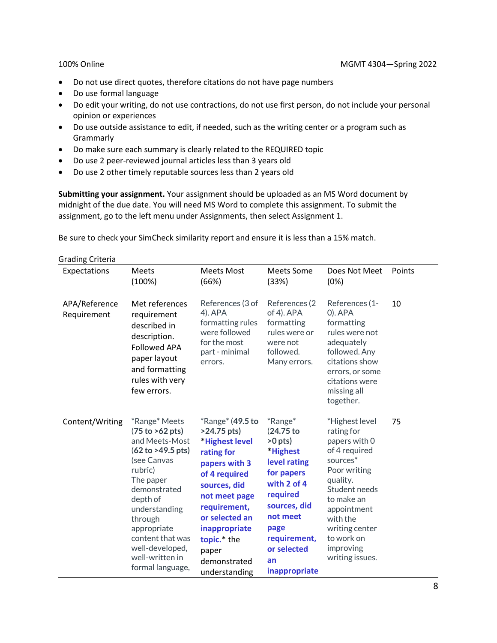- Do not use direct quotes, therefore citations do not have page numbers
- Do use formal language
- Do edit your writing, do not use contractions, do not use first person, do not include your personal opinion or experiences
- Do use outside assistance to edit, if needed, such as the writing center or a program such as Grammarly
- Do make sure each summary is clearly related to the REQUIRED topic
- Do use 2 peer-reviewed journal articles less than 3 years old
- Do use 2 other timely reputable sources less than 2 years old

**Submitting your assignment.** Your assignment should be uploaded as an MS Word document by midnight of the due date. You will need MS Word to complete this assignment. To submit the assignment, go to the left menu under Assignments, then select Assignment 1.

Be sure to check your SimCheck similarity report and ensure it is less than a 15% match.

| Expectations                 | <b>Meets</b><br>(100%)                                                                                                                                                                                                                                              | <b>Meets Most</b><br>(66%)                                                                                                                                                                                                                             | Meets Some<br>(33%)                                                                                                                                                                                      | Does Not Meet<br>(0%)                                                                                                                                                                                                                        | Points |
|------------------------------|---------------------------------------------------------------------------------------------------------------------------------------------------------------------------------------------------------------------------------------------------------------------|--------------------------------------------------------------------------------------------------------------------------------------------------------------------------------------------------------------------------------------------------------|----------------------------------------------------------------------------------------------------------------------------------------------------------------------------------------------------------|----------------------------------------------------------------------------------------------------------------------------------------------------------------------------------------------------------------------------------------------|--------|
| APA/Reference<br>Requirement | Met references<br>requirement<br>described in<br>description.<br><b>Followed APA</b><br>paper layout<br>and formatting<br>rules with very<br>few errors.                                                                                                            | References (3 of<br>$4)$ . APA<br>formatting rules<br>were followed<br>for the most<br>part - minimal<br>errors.                                                                                                                                       | References (2)<br>of 4). APA<br>formatting<br>rules were or<br>were not<br>followed.<br>Many errors.                                                                                                     | References (1-<br>$O$ ). APA<br>formatting<br>rules were not<br>adequately<br>followed. Any<br>citations show<br>errors, or some<br>citations were<br>missing all<br>together.                                                               | 10     |
| Content/Writing              | *Range* Meets<br>(75 to >62 pts)<br>and Meets-Most<br>(62 to >49.5 pts)<br>(see Canvas<br>rubric)<br>The paper<br>demonstrated<br>depth of<br>understanding<br>through<br>appropriate<br>content that was<br>well-developed,<br>well-written in<br>formal language, | $*$ Range $*$ (49.5 to<br>$>24.75$ pts)<br>*Highest level<br>rating for<br>papers with 3<br>of 4 required<br>sources, did<br>not meet page<br>requirement,<br>or selected an<br>inappropriate<br>topic.* the<br>paper<br>demonstrated<br>understanding | <i>*</i> Range*<br>(24.75 to<br>$>0$ pts)<br>*Highest<br>level rating<br>for papers<br>with 2 of 4<br>required<br>sources, did<br>not meet<br>page<br>requirement,<br>or selected<br>an<br>inappropriate | *Highest level<br>rating for<br>papers with 0<br>of 4 required<br>sources <sup>*</sup><br>Poor writing<br>quality.<br>Student needs<br>to make an<br>appointment<br>with the<br>writing center<br>to work on<br>improving<br>writing issues. | 75     |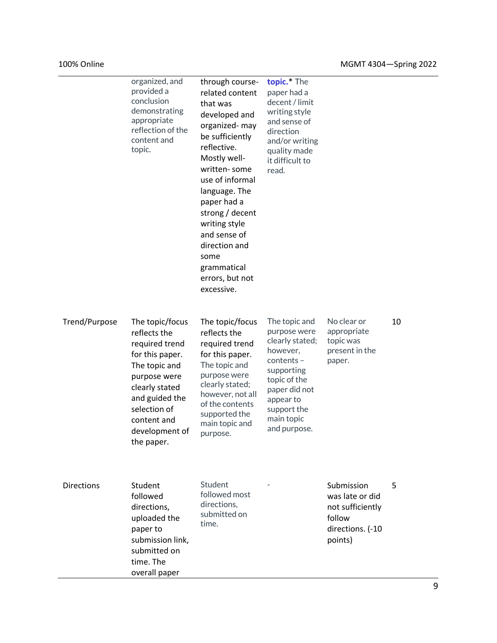|                   | organized, and<br>provided a<br>conclusion<br>demonstrating<br>appropriate<br>reflection of the<br>content and<br>topic.                                                                                 | through course-<br>related content<br>that was<br>developed and<br>organized-may<br>be sufficiently<br>reflective.<br>Mostly well-<br>written-some<br>use of informal<br>language. The<br>paper had a<br>strong / decent<br>writing style<br>and sense of<br>direction and<br>some<br>grammatical<br>errors, but not<br>excessive. | topic. <sup>*</sup> The<br>paper had a<br>decent / limit<br>writing style<br>and sense of<br>direction<br>and/or writing<br>quality made<br>it difficult to<br>read.                  |                                                                                            |    |
|-------------------|----------------------------------------------------------------------------------------------------------------------------------------------------------------------------------------------------------|------------------------------------------------------------------------------------------------------------------------------------------------------------------------------------------------------------------------------------------------------------------------------------------------------------------------------------|---------------------------------------------------------------------------------------------------------------------------------------------------------------------------------------|--------------------------------------------------------------------------------------------|----|
| Trend/Purpose     | The topic/focus<br>reflects the<br>required trend<br>for this paper.<br>The topic and<br>purpose were<br>clearly stated<br>and guided the<br>selection of<br>content and<br>development of<br>the paper. | The topic/focus<br>reflects the<br>required trend<br>for this paper.<br>The topic and<br>purpose were<br>clearly stated;<br>however, not all<br>of the contents<br>supported the<br>main topic and<br>purpose.                                                                                                                     | The topic and<br>purpose were<br>clearly stated;<br>however,<br>$contents -$<br>supporting<br>topic of the<br>paper did not<br>appear to<br>support the<br>main topic<br>and purpose. | No clear or<br>appropriate<br>topic was<br>present in the<br>paper.                        | 10 |
| <b>Directions</b> | Student<br>followed<br>directions,<br>uploaded the<br>paper to<br>submission link,<br>submitted on<br>time. The<br>overall paper                                                                         | Student<br>followed most<br>directions,<br>submitted on<br>time.                                                                                                                                                                                                                                                                   |                                                                                                                                                                                       | Submission<br>was late or did<br>not sufficiently<br>follow<br>directions. (-10<br>points) | 5  |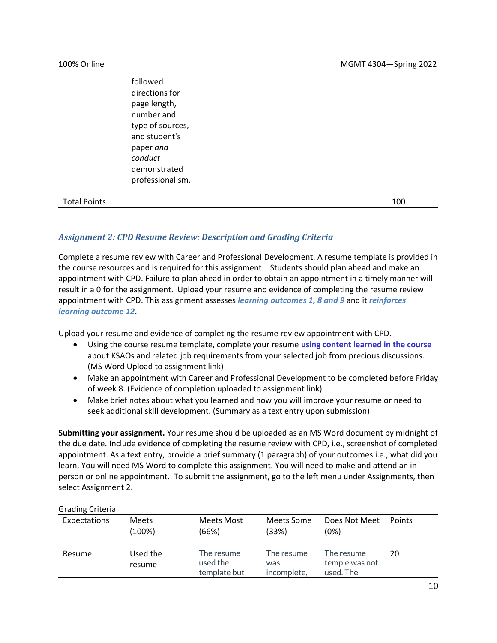followed directions for page length, number and type of sources, and student's paper *and conduct* demonstrated professionalism.

### Total Points 100

# *Assignment 2: CPD Resume Review: Description and Grading Criteria*

Complete a resume review with Career and Professional Development. A resume template is provided in the course resources and is required for this assignment. Students should plan ahead and make an appointment with CPD. Failure to plan ahead in order to obtain an appointment in a timely manner will result in a 0 for the assignment. Upload your resume and evidence of completing the resume review appointment with CPD. This assignment assesses *learning outcomes 1, 8 and 9* and it *reinforces learning outcome 12*.

Upload your resume and evidence of completing the resume review appointment with CPD.

- Using the course resume template, complete your resume **using content learned in the course** about KSAOs and related job requirements from your selected job from precious discussions. (MS Word Upload to assignment link)
- Make an appointment with Career and Professional Development to be completed before Friday of week 8. (Evidence of completion uploaded to assignment link)
- Make brief notes about what you learned and how you will improve your resume or need to seek additional skill development. (Summary as a text entry upon submission)

**Submitting your assignment.** Your resume should be uploaded as an MS Word document by midnight of the due date. Include evidence of completing the resume review with CPD, i.e., screenshot of completed appointment. As a text entry, provide a brief summary (1 paragraph) of your outcomes i.e., what did you learn. You will need MS Word to complete this assignment. You will need to make and attend an inperson or online appointment. To submit the assignment, go to the left menu under Assignments, then select Assignment 2.

#### Grading Criteria

| Expectations | <b>Meets</b><br>(100%) | Meets Most<br>(66%)                    | Meets Some<br>(33%)              | Does Not Meet<br>(0%)                     | <b>Points</b> |
|--------------|------------------------|----------------------------------------|----------------------------------|-------------------------------------------|---------------|
| Resume       | Used the<br>resume     | The resume<br>used the<br>template but | The resume<br>was<br>incomplete, | The resume<br>temple was not<br>used. The | 20            |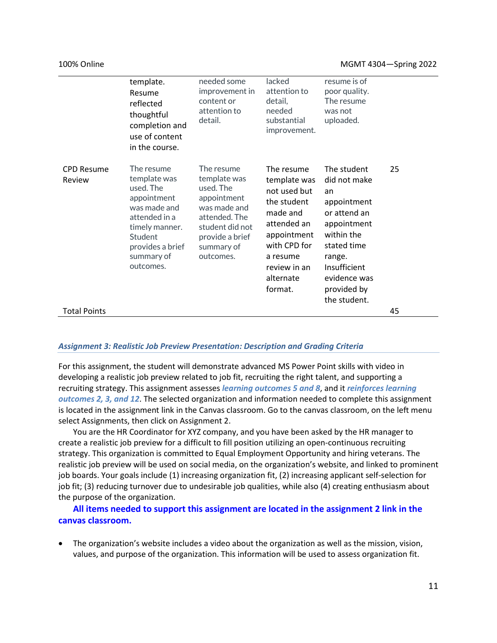|                             | template.<br>Resume<br>reflected<br>thoughtful<br>completion and<br>use of content<br>in the course.                                                                | needed some<br>improvement in<br>content or<br>attention to<br>detail.                                                                                   | lacked<br>attention to<br>detail,<br>needed<br>substantial<br>improvement.                                                                                              | resume is of<br>poor quality.<br>The resume<br>was not<br>uploaded.                                                                                                                   |    |
|-----------------------------|---------------------------------------------------------------------------------------------------------------------------------------------------------------------|----------------------------------------------------------------------------------------------------------------------------------------------------------|-------------------------------------------------------------------------------------------------------------------------------------------------------------------------|---------------------------------------------------------------------------------------------------------------------------------------------------------------------------------------|----|
| <b>CPD Resume</b><br>Review | The resume<br>template was<br>used. The<br>appointment<br>was made and<br>attended in a<br>timely manner.<br>Student<br>provides a brief<br>summary of<br>outcomes. | The resume<br>template was<br>used. The<br>appointment<br>was made and<br>attended. The<br>student did not<br>provide a brief<br>summary of<br>outcomes. | The resume<br>template was<br>not used but<br>the student<br>made and<br>attended an<br>appointment<br>with CPD for<br>a resume<br>review in an<br>alternate<br>format. | The student<br>did not make<br>an<br>appointment<br>or attend an<br>appointment<br>within the<br>stated time<br>range.<br>Insufficient<br>evidence was<br>provided by<br>the student. | 25 |
| <b>Total Points</b>         |                                                                                                                                                                     |                                                                                                                                                          |                                                                                                                                                                         |                                                                                                                                                                                       | 45 |

#### *Assignment 3: Realistic Job Preview Presentation: Description and Grading Criteria*

For this assignment, the student will demonstrate advanced MS Power Point skills with video in developing a realistic job preview related to job fit, recruiting the right talent, and supporting a recruiting strategy. This assignment assesses *learning outcomes 5 and 8*, and it *reinforces learning outcomes 2, 3, and 12*. The selected organization and information needed to complete this assignment is located in the assignment link in the Canvas classroom. Go to the canvas classroom, on the left menu select Assignments, then click on Assignment 2.

You are the HR Coordinator for XYZ company, and you have been asked by the HR manager to create a realistic job preview for a difficult to fill position utilizing an open-continuous recruiting strategy. This organization is committed to Equal Employment Opportunity and hiring veterans. The realistic job preview will be used on social media, on the organization's website, and linked to prominent job boards. Your goals include (1) increasing organization fit, (2) increasing applicant self-selection for job fit; (3) reducing turnover due to undesirable job qualities, while also (4) creating enthusiasm about the purpose of the organization.

**All items needed to support this assignment are located in the assignment 2 link in the canvas classroom.**

• The organization's website includes a video about the organization as well as the mission, vision, values, and purpose of the organization. This information will be used to assess organization fit.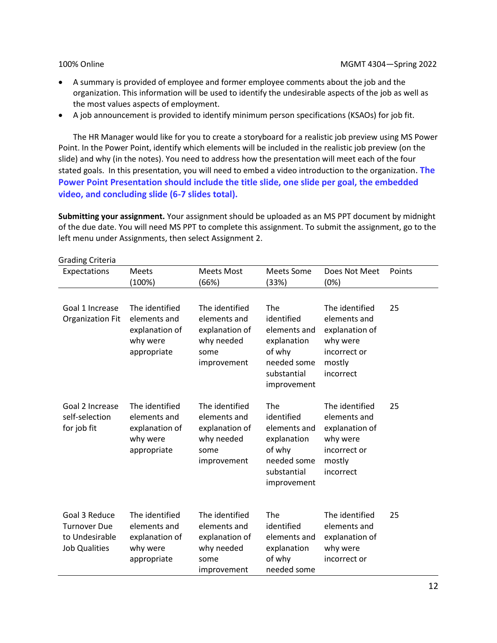- A summary is provided of employee and former employee comments about the job and the organization. This information will be used to identify the undesirable aspects of the job as well as the most values aspects of employment.
- A job announcement is provided to identify minimum person specifications (KSAOs) for job fit.

The HR Manager would like for you to create a storyboard for a realistic job preview using MS Power Point. In the Power Point, identify which elements will be included in the realistic job preview (on the slide) and why (in the notes). You need to address how the presentation will meet each of the four stated goals. In this presentation, you will need to embed a video introduction to the organization. **The Power Point Presentation should include the title slide, one slide per goal, the embedded video, and concluding slide (6-7 slides total).** 

**Submitting your assignment.** Your assignment should be uploaded as an MS PPT document by midnight of the due date. You will need MS PPT to complete this assignment. To submit the assignment, go to the left menu under Assignments, then select Assignment 2.

| <b>Grading Criteria</b>                                                        |                                                                             |                                                                                       |                                                                                                         |                                                                                                     |        |
|--------------------------------------------------------------------------------|-----------------------------------------------------------------------------|---------------------------------------------------------------------------------------|---------------------------------------------------------------------------------------------------------|-----------------------------------------------------------------------------------------------------|--------|
| Expectations                                                                   | <b>Meets</b><br>(100%)                                                      | <b>Meets Most</b><br>(66%)                                                            | Meets Some<br>(33%)                                                                                     | Does Not Meet<br>(0%)                                                                               | Points |
| Goal 1 Increase<br><b>Organization Fit</b>                                     | The identified<br>elements and<br>explanation of<br>why were<br>appropriate | The identified<br>elements and<br>explanation of<br>why needed<br>some<br>improvement | The<br>identified<br>elements and<br>explanation<br>of why<br>needed some<br>substantial<br>improvement | The identified<br>elements and<br>explanation of<br>why were<br>incorrect or<br>mostly<br>incorrect | 25     |
| Goal 2 Increase<br>self-selection<br>for job fit                               | The identified<br>elements and<br>explanation of<br>why were<br>appropriate | The identified<br>elements and<br>explanation of<br>why needed<br>some<br>improvement | The<br>identified<br>elements and<br>explanation<br>of why<br>needed some<br>substantial<br>improvement | The identified<br>elements and<br>explanation of<br>why were<br>incorrect or<br>mostly<br>incorrect | 25     |
| Goal 3 Reduce<br><b>Turnover Due</b><br>to Undesirable<br><b>Job Qualities</b> | The identified<br>elements and<br>explanation of<br>why were<br>appropriate | The identified<br>elements and<br>explanation of<br>why needed<br>some<br>improvement | The<br>identified<br>elements and<br>explanation<br>of why<br>needed some                               | The identified<br>elements and<br>explanation of<br>why were<br>incorrect or                        | 25     |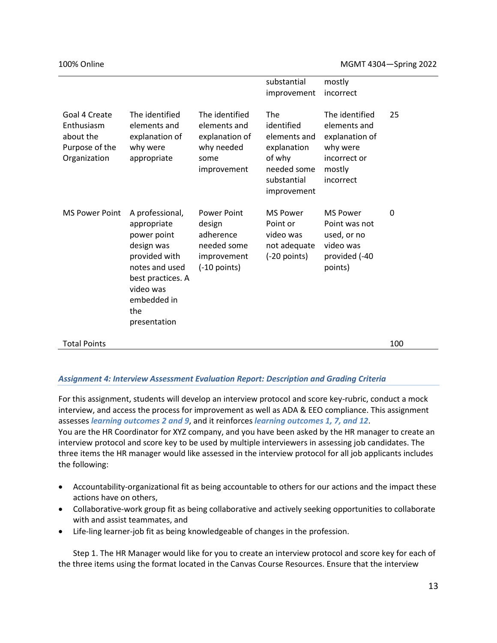|                                                                            |                                                                                                                                                                        |                                                                                           | substantial<br>improvement                                                                              | mostly<br>incorrect                                                                                 |     |
|----------------------------------------------------------------------------|------------------------------------------------------------------------------------------------------------------------------------------------------------------------|-------------------------------------------------------------------------------------------|---------------------------------------------------------------------------------------------------------|-----------------------------------------------------------------------------------------------------|-----|
| Goal 4 Create<br>Enthusiasm<br>about the<br>Purpose of the<br>Organization | The identified<br>elements and<br>explanation of<br>why were<br>appropriate                                                                                            | The identified<br>elements and<br>explanation of<br>why needed<br>some<br>improvement     | The<br>identified<br>elements and<br>explanation<br>of why<br>needed some<br>substantial<br>improvement | The identified<br>elements and<br>explanation of<br>why were<br>incorrect or<br>mostly<br>incorrect | 25  |
| <b>MS Power Point</b>                                                      | A professional,<br>appropriate<br>power point<br>design was<br>provided with<br>notes and used<br>best practices. A<br>video was<br>embedded in<br>the<br>presentation | <b>Power Point</b><br>design<br>adherence<br>needed some<br>improvement<br>$(-10$ points) | <b>MS Power</b><br>Point or<br>video was<br>not adequate<br>$(-20$ points)                              | <b>MS Power</b><br>Point was not<br>used, or no<br>video was<br>provided (-40<br>points)            | 0   |
| <b>Total Points</b>                                                        |                                                                                                                                                                        |                                                                                           |                                                                                                         |                                                                                                     | 100 |

### *Assignment 4: Interview Assessment Evaluation Report: Description and Grading Criteria*

For this assignment, students will develop an interview protocol and score key-rubric, conduct a mock interview, and access the process for improvement as well as ADA & EEO compliance. This assignment assesses *learning outcomes 2 and 9*, and it reinforces *learning outcomes 1, 7, and 12*. You are the HR Coordinator for XYZ company, and you have been asked by the HR manager to create an interview protocol and score key to be used by multiple interviewers in assessing job candidates. The three items the HR manager would like assessed in the interview protocol for all job applicants includes the following:

- Accountability-organizational fit as being accountable to others for our actions and the impact these actions have on others,
- Collaborative-work group fit as being collaborative and actively seeking opportunities to collaborate with and assist teammates, and
- Life-ling learner-job fit as being knowledgeable of changes in the profession.

Step 1. The HR Manager would like for you to create an interview protocol and score key for each of the three items using the format located in the Canvas Course Resources. Ensure that the interview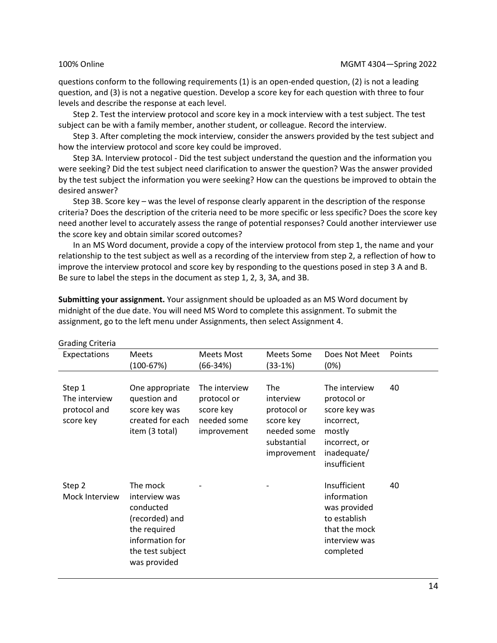questions conform to the following requirements (1) is an open-ended question, (2) is not a leading question, and (3) is not a negative question. Develop a score key for each question with three to four levels and describe the response at each level.

Step 2. Test the interview protocol and score key in a mock interview with a test subject. The test subject can be with a family member, another student, or colleague. Record the interview.

Step 3. After completing the mock interview, consider the answers provided by the test subject and how the interview protocol and score key could be improved.

Step 3A. Interview protocol - Did the test subject understand the question and the information you were seeking? Did the test subject need clarification to answer the question? Was the answer provided by the test subject the information you were seeking? How can the questions be improved to obtain the desired answer?

Step 3B. Score key – was the level of response clearly apparent in the description of the response criteria? Does the description of the criteria need to be more specific or less specific? Does the score key need another level to accurately assess the range of potential responses? Could another interviewer use the score key and obtain similar scored outcomes?

In an MS Word document, provide a copy of the interview protocol from step 1, the name and your relationship to the test subject as well as a recording of the interview from step 2, a reflection of how to improve the interview protocol and score key by responding to the questions posed in step 3 A and B. Be sure to label the steps in the document as step 1, 2, 3, 3A, and 3B.

**Submitting your assignment.** Your assignment should be uploaded as an MS Word document by midnight of the due date. You will need MS Word to complete this assignment. To submit the assignment, go to the left menu under Assignments, then select Assignment 4.

| <b>Grading Criteria</b>                              |                                                                                                                                 |                                                                         |                                                                                                  |                                                                                                                       |        |
|------------------------------------------------------|---------------------------------------------------------------------------------------------------------------------------------|-------------------------------------------------------------------------|--------------------------------------------------------------------------------------------------|-----------------------------------------------------------------------------------------------------------------------|--------|
| Expectations                                         | Meets<br>$(100 - 67%)$                                                                                                          | Meets Most<br>(66-34%)                                                  | Meets Some<br>(33-1%)                                                                            | Does Not Meet<br>(0%)                                                                                                 | Points |
| Step 1<br>The interview<br>protocol and<br>score key | One appropriate<br>question and<br>score key was<br>created for each<br>item (3 total)                                          | The interview<br>protocol or<br>score key<br>needed some<br>improvement | <b>The</b><br>interview<br>protocol or<br>score key<br>needed some<br>substantial<br>improvement | The interview<br>protocol or<br>score key was<br>incorrect,<br>mostly<br>incorrect, or<br>inadequate/<br>insufficient | 40     |
| Step 2<br>Mock Interview                             | The mock<br>interview was<br>conducted<br>(recorded) and<br>the required<br>information for<br>the test subject<br>was provided |                                                                         |                                                                                                  | Insufficient<br>information<br>was provided<br>to establish<br>that the mock<br>interview was<br>completed            | 40     |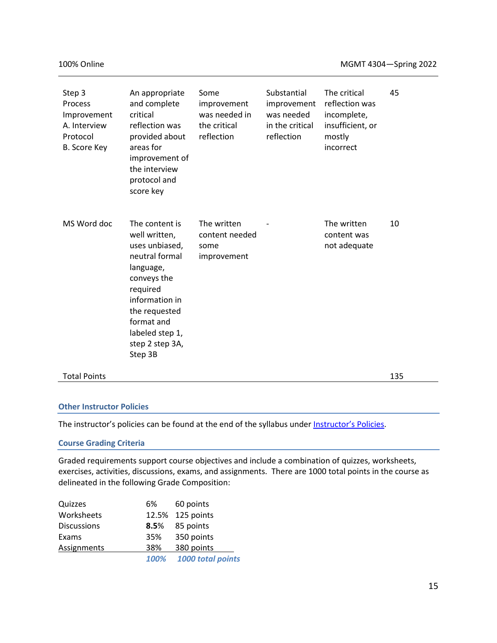| Step 3<br>Process<br>Improvement<br>A. Interview<br>Protocol<br>B. Score Key | An appropriate<br>and complete<br>critical<br>reflection was<br>provided about<br>areas for<br>improvement of<br>the interview<br>protocol and<br>score key                                                   | Some<br>improvement<br>was needed in<br>the critical<br>reflection | Substantial<br>improvement<br>was needed<br>in the critical<br>reflection | The critical<br>reflection was<br>incomplete,<br>insufficient, or<br>mostly<br>incorrect | 45  |
|------------------------------------------------------------------------------|---------------------------------------------------------------------------------------------------------------------------------------------------------------------------------------------------------------|--------------------------------------------------------------------|---------------------------------------------------------------------------|------------------------------------------------------------------------------------------|-----|
| MS Word doc                                                                  | The content is<br>well written,<br>uses unbiased,<br>neutral formal<br>language,<br>conveys the<br>required<br>information in<br>the requested<br>format and<br>labeled step 1,<br>step 2 step 3A,<br>Step 3B | The written<br>content needed<br>some<br>improvement               |                                                                           | The written<br>content was<br>not adequate                                               | 10  |
| <b>Total Points</b>                                                          |                                                                                                                                                                                                               |                                                                    |                                                                           |                                                                                          | 135 |

#### **Other Instructor Policies**

The instructor's policies can be found at the end of the syllabus under [Instructor](#page-26-0)'s Policies.

#### **Course Grading Criteria**

Graded requirements support course objectives and include a combination of quizzes, worksheets, exercises, activities, discussions, exams, and assignments. There are 1000 total points in the course as delineated in the following Grade Composition:

| Quizzes            | 6%   | 60 points         |
|--------------------|------|-------------------|
| Worksheets         |      | 12.5% 125 points  |
| <b>Discussions</b> | 8.5% | 85 points         |
| Exams              | 35%  | 350 points        |
| Assignments        | 38%  | 380 points        |
|                    | 100% | 1000 total points |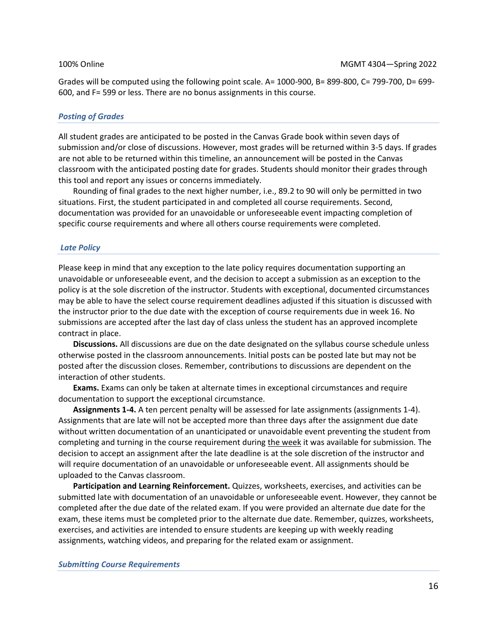Grades will be computed using the following point scale. A= 1000-900, B= 899-800, C= 799-700, D= 699- 600, and F= 599 or less. There are no bonus assignments in this course.

#### *Posting of Grades*

All student grades are anticipated to be posted in the Canvas Grade book within seven days of submission and/or close of discussions. However, most grades will be returned within 3-5 days. If grades are not able to be returned within this timeline, an announcement will be posted in the Canvas classroom with the anticipated posting date for grades. Students should monitor their grades through this tool and report any issues or concerns immediately.

Rounding of final grades to the next higher number, i.e., 89.2 to 90 will only be permitted in two situations. First, the student participated in and completed all course requirements. Second, documentation was provided for an unavoidable or unforeseeable event impacting completion of specific course requirements and where all others course requirements were completed.

#### *Late Policy*

Please keep in mind that any exception to the late policy requires documentation supporting an unavoidable or unforeseeable event, and the decision to accept a submission as an exception to the policy is at the sole discretion of the instructor. Students with exceptional, documented circumstances may be able to have the select course requirement deadlines adjusted if this situation is discussed with the instructor prior to the due date with the exception of course requirements due in week 16. No submissions are accepted after the last day of class unless the student has an approved incomplete contract in place.

**Discussions.** All discussions are due on the date designated on the syllabus course schedule unless otherwise posted in the classroom announcements. Initial posts can be posted late but may not be posted after the discussion closes. Remember, contributions to discussions are dependent on the interaction of other students.

**Exams.** Exams can only be taken at alternate times in exceptional circumstances and require documentation to support the exceptional circumstance.

**Assignments 1-4.** A ten percent penalty will be assessed for late assignments (assignments 1-4). Assignments that are late will not be accepted more than three days after the assignment due date without written documentation of an unanticipated or unavoidable event preventing the student from completing and turning in the course requirement during the week it was available for submission. The decision to accept an assignment after the late deadline is at the sole discretion of the instructor and will require documentation of an unavoidable or unforeseeable event. All assignments should be uploaded to the Canvas classroom.

**Participation and Learning Reinforcement.** Quizzes, worksheets, exercises, and activities can be submitted late with documentation of an unavoidable or unforeseeable event. However, they cannot be completed after the due date of the related exam. If you were provided an alternate due date for the exam, these items must be completed prior to the alternate due date. Remember, quizzes, worksheets, exercises, and activities are intended to ensure students are keeping up with weekly reading assignments, watching videos, and preparing for the related exam or assignment.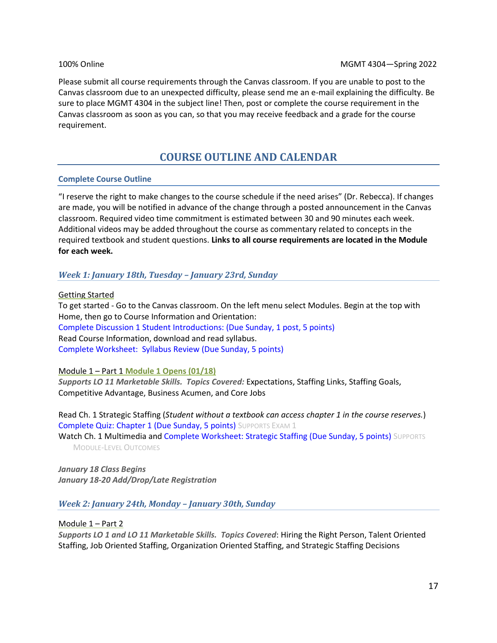Please submit all course requirements through the Canvas classroom. If you are unable to post to the Canvas classroom due to an unexpected difficulty, please send me an e-mail explaining the difficulty. Be sure to place MGMT 4304 in the subject line! Then, post or complete the course requirement in the Canvas classroom as soon as you can, so that you may receive feedback and a grade for the course requirement.

# **COURSE OUTLINE AND CALENDAR**

#### **Complete Course Outline**

"I reserve the right to make changes to the course schedule if the need arises" (Dr. Rebecca). If changes are made, you will be notified in advance of the change through a posted announcement in the Canvas classroom. Required video time commitment is estimated between 30 and 90 minutes each week. Additional videos may be added throughout the course as commentary related to concepts in the required textbook and student questions. **Links to all course requirements are located in the Module for each week.** 

### *Week 1: January 18th, Tuesday – January 23rd, Sunday*

Getting Started

To get started - Go to the Canvas classroom. On the left menu select Modules. Begin at the top with Home, then go to Course Information and Orientation: Complete Discussion 1 Student Introductions: (Due Sunday, 1 post, 5 points) Read Course Information, download and read syllabus. Complete Worksheet: Syllabus Review (Due Sunday, 5 points)

Module 1 – Part 1 **Module 1 Opens (01/18)**

*Supports LO 11 Marketable Skills. Topics Covered:* Expectations, Staffing Links, Staffing Goals, Competitive Advantage, Business Acumen, and Core Jobs

Read Ch. 1 Strategic Staffing (*Student without a textbook can access chapter 1 in the course reserves.*) Complete Quiz: Chapter 1 (Due Sunday, 5 points) SUPPORTS EXAM 1

Watch Ch. 1 Multimedia and Complete Worksheet: Strategic Staffing (Due Sunday, 5 points) SUPPORTS MODULE-LEVEL OUTCOMES

*January 18 Class Begins January 18-20 Add/Drop/Late Registration*

*Week 2: January 24th, Monday – January 30th, Sunday* 

Module 1 – Part 2

*Supports LO 1 and LO 11 Marketable Skills. Topics Covered*: Hiring the Right Person, Talent Oriented Staffing, Job Oriented Staffing, Organization Oriented Staffing, and Strategic Staffing Decisions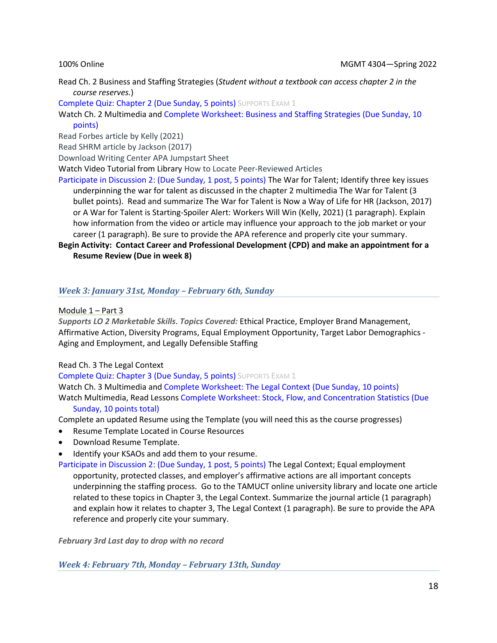Read Ch. 2 Business and Staffing Strategies (*Student without a textbook can access chapter 2 in the course reserves.*)

Complete Quiz: Chapter 2 (Due Sunday, 5 points) SUPPORTS EXAM 1

Watch Ch. 2 Multimedia and Complete Worksheet: Business and Staffing Strategies (Due Sunday, 10 points)

Read Forbes article by Kelly (2021)

Read SHRM article by Jackson (2017)

Download Writing Center APA Jumpstart Sheet

Watch Video Tutorial from Library How to Locate Peer-Reviewed Articles

Participate in Discussion 2: (Due Sunday, 1 post, 5 points) The War for Talent; Identify three key issues underpinning the war for talent as discussed in the chapter 2 multimedia The War for Talent (3 bullet points). Read and summarize The War for Talent is Now a Way of Life for HR (Jackson, 2017) or A War for Talent is Starting-Spoiler Alert: Workers Will Win (Kelly, 2021) (1 paragraph). Explain how information from the video or article may influence your approach to the job market or your career (1 paragraph). Be sure to provide the APA reference and properly cite your summary.

### **Begin Activity: Contact Career and Professional Development (CPD) and make an appointment for a Resume Review (Due in week 8)**

# *Week 3: January 31st, Monday – February 6th, Sunday*

Module 1 – Part 3

*Supports LO 2 Marketable Skills*. *Topics Covered:* Ethical Practice, Employer Brand Management, Affirmative Action, Diversity Programs, Equal Employment Opportunity, Target Labor Demographics - Aging and Employment, and Legally Defensible Staffing

### Read Ch. 3 The Legal Context

Complete Quiz: Chapter 3 (Due Sunday, 5 points) SUPPORTS EXAM 1

Watch Ch. 3 Multimedia and Complete Worksheet: The Legal Context (Due Sunday, 10 points) Watch Multimedia, Read Lessons Complete Worksheet: Stock, Flow, and Concentration Statistics (Due

### Sunday, 10 points total)

Complete an updated Resume using the Template (you will need this as the course progresses)

- Resume Template Located in Course Resources
- Download Resume Template.
- Identify your KSAOs and add them to your resume.

Participate in Discussion 2: (Due Sunday, 1 post, 5 points) The Legal Context; Equal employment opportunity, protected classes, and employer's affirmative actions are all important concepts underpinning the staffing process. Go to the TAMUCT online university library and locate one article related to these topics in Chapter 3, the Legal Context. Summarize the journal article (1 paragraph) and explain how it relates to chapter 3, The Legal Context (1 paragraph). Be sure to provide the APA reference and properly cite your summary.

*February 3rd Last day to drop with no record*

*Week 4: February 7th, Monday – February 13th, Sunday*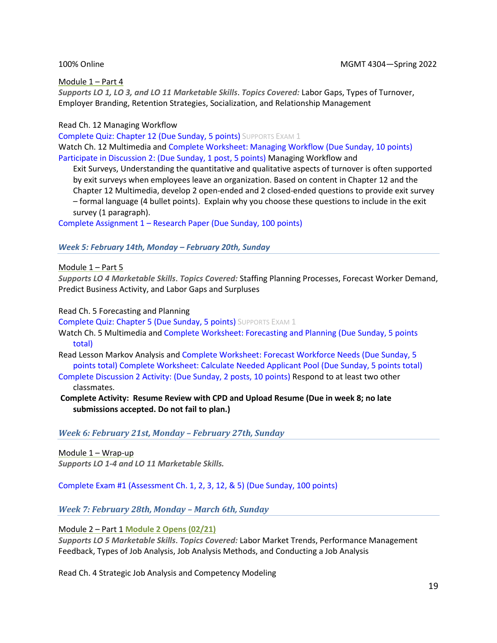#### Module 1 – Part 4

*Supports LO 1, LO 3, and LO 11 Marketable Skills*. *Topics Covered:* Labor Gaps, Types of Turnover, Employer Branding, Retention Strategies, Socialization, and Relationship Management

#### Read Ch. 12 Managing Workflow

Complete Quiz: Chapter 12 (Due Sunday, 5 points) SUPPORTS EXAM 1 Watch Ch. 12 Multimedia and Complete Worksheet: Managing Workflow (Due Sunday, 10 points) Participate in Discussion 2: (Due Sunday, 1 post, 5 points) Managing Workflow and

Exit Surveys, Understanding the quantitative and qualitative aspects of turnover is often supported by exit surveys when employees leave an organization. Based on content in Chapter 12 and the Chapter 12 Multimedia, develop 2 open-ended and 2 closed-ended questions to provide exit survey – formal language (4 bullet points). Explain why you choose these questions to include in the exit survey (1 paragraph).

Complete Assignment 1 – Research Paper (Due Sunday, 100 points)

#### *Week 5: February 14th, Monday – February 20th, Sunday*

Module 1 – Part 5

*Supports LO 4 Marketable Skills*. *Topics Covered:* Staffing Planning Processes, Forecast Worker Demand, Predict Business Activity, and Labor Gaps and Surpluses

Read Ch. 5 Forecasting and Planning

Complete Quiz: Chapter 5 (Due Sunday, 5 points) SUPPORTS EXAM 1

- Watch Ch. 5 Multimedia and Complete Worksheet: Forecasting and Planning (Due Sunday, 5 points total)
- Read Lesson Markov Analysis and Complete Worksheet: Forecast Workforce Needs (Due Sunday, 5 points total) Complete Worksheet: Calculate Needed Applicant Pool (Due Sunday, 5 points total)
- Complete Discussion 2 Activity: (Due Sunday, 2 posts, 10 points) Respond to at least two other classmates.
- **Complete Activity: Resume Review with CPD and Upload Resume (Due in week 8; no late submissions accepted. Do not fail to plan.)**

*Week 6: February 21st, Monday – February 27th, Sunday*

Module 1 – Wrap-up *Supports LO 1-4 and LO 11 Marketable Skills.*

Complete Exam #1 (Assessment Ch. 1, 2, 3, 12, & 5) (Due Sunday, 100 points)

*Week 7: February 28th, Monday – March 6th, Sunday* 

Module 2 – Part 1 **Module 2 Opens (02/21)**

*Supports LO 5 Marketable Skills*. *Topics Covered:* Labor Market Trends, Performance Management Feedback, Types of Job Analysis, Job Analysis Methods, and Conducting a Job Analysis

Read Ch. 4 Strategic Job Analysis and Competency Modeling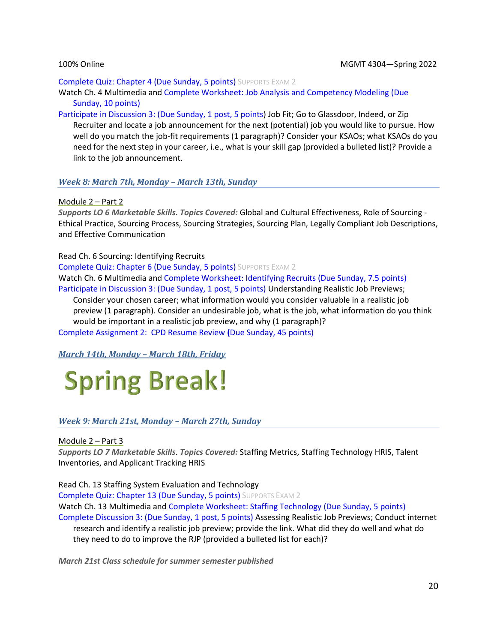#### Complete Quiz: Chapter 4 (Due Sunday, 5 points) SUPPORTS EXAM 2

Watch Ch. 4 Multimedia and Complete Worksheet: Job Analysis and Competency Modeling (Due Sunday, 10 points)

Participate in Discussion 3: (Due Sunday, 1 post, 5 points) Job Fit; Go to Glassdoor, Indeed, or Zip Recruiter and locate a job announcement for the next (potential) job you would like to pursue. How well do you match the job-fit requirements (1 paragraph)? Consider your KSAOs; what KSAOs do you need for the next step in your career, i.e., what is your skill gap (provided a bulleted list)? Provide a link to the job announcement.

#### *Week 8: March 7th, Monday – March 13th, Sunday*

#### Module 2 – Part 2

*Supports LO 6 Marketable Skills*. *Topics Covered:* Global and Cultural Effectiveness, Role of Sourcing - Ethical Practice, Sourcing Process, Sourcing Strategies, Sourcing Plan, Legally Compliant Job Descriptions, and Effective Communication

#### Read Ch. 6 Sourcing: Identifying Recruits

Complete Quiz: Chapter 6 (Due Sunday, 5 points) SUPPORTS EXAM 2 Watch Ch. 6 Multimedia and Complete Worksheet: Identifying Recruits (Due Sunday, 7.5 points) Participate in Discussion 3: (Due Sunday, 1 post, 5 points) Understanding Realistic Job Previews;

Consider your chosen career; what information would you consider valuable in a realistic job preview (1 paragraph). Consider an undesirable job, what is the job, what information do you think would be important in a realistic job preview, and why (1 paragraph)?

Complete Assignment 2:CPD Resume Review **(**Due Sunday, 45 points)

*March 14th, Monday – March 18th, Friday*

# **Spring Break!**

### *Week 9: March 21st, Monday – March 27th, Sunday*

Module 2 – Part 3

*Supports LO 7 Marketable Skills*. *Topics Covered:* Staffing Metrics, Staffing Technology HRIS, Talent Inventories, and Applicant Tracking HRIS

Read Ch. 13 Staffing System Evaluation and Technology

Complete Quiz: Chapter 13 (Due Sunday, 5 points) SUPPORTS EXAM 2 Watch Ch. 13 Multimedia and Complete Worksheet: Staffing Technology (Due Sunday, 5 points) Complete Discussion 3: (Due Sunday, 1 post, 5 points) Assessing Realistic Job Previews; Conduct internet research and identify a realistic job preview; provide the link. What did they do well and what do

they need to do to improve the RJP (provided a bulleted list for each)?

*March 21st Class schedule for summer semester published*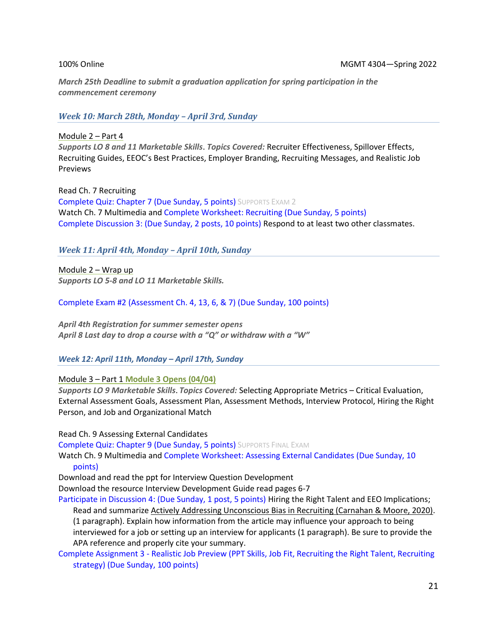*March 25th Deadline to submit a graduation application for spring participation in the commencement ceremony* 

*Week 10: March 28th, Monday – April 3rd, Sunday*

Module 2 – Part 4 *Supports LO 8 and 11 Marketable Skills*. *Topics Covered:* Recruiter Effectiveness, Spillover Effects, Recruiting Guides, EEOC's Best Practices, Employer Branding, Recruiting Messages, and Realistic Job Previews

Read Ch. 7 Recruiting Complete Quiz: Chapter 7 (Due Sunday, 5 points) SUPPORTS EXAM 2 Watch Ch. 7 Multimedia and Complete Worksheet: Recruiting (Due Sunday, 5 points) Complete Discussion 3: (Due Sunday, 2 posts, 10 points) Respond to at least two other classmates.

### *Week 11: April 4th, Monday – April 10th, Sunday*

Module 2 – Wrap up *Supports LO 5-8 and LO 11 Marketable Skills.*

Complete Exam #2 (Assessment Ch. 4, 13, 6, & 7) (Due Sunday, 100 points)

*April 4th Registration for summer semester opens April 8 Last day to drop a course with a "Q" or withdraw with a "W"* 

*Week 12: April 11th, Monday – April 17th, Sunday*

Module 3 – Part 1 **Module 3 Opens (04/04)**

*Supports LO 9 Marketable Skills*. *Topics Covered:* Selecting Appropriate Metrics – Critical Evaluation, External Assessment Goals, Assessment Plan, Assessment Methods, Interview Protocol, Hiring the Right Person, and Job and Organizational Match

Read Ch. 9 Assessing External Candidates

Complete Quiz: Chapter 9 (Due Sunday, 5 points) SUPPORTS FINAL EXAM

Watch Ch. 9 Multimedia and Complete Worksheet: Assessing External Candidates (Due Sunday, 10 points)

Download and read the ppt for Interview Question Development

Download the resource Interview Development Guide read pages 6-7

Participate in Discussion 4: (Due Sunday, 1 post, 5 points) Hiring the Right Talent and EEO Implications; Read and summarize [Actively Addressing Unconscious Bias in Recruiting \(Carnahan & Moore, 2020\).](https://www.hbs.edu/recruiting/insights-and-advice/blog/post/actively-addressing-unconscious-bias-in-recruiting) (1 paragraph). Explain how information from the article may influence your approach to being interviewed for a job or setting up an interview for applicants (1 paragraph). Be sure to provide the APA reference and properly cite your summary.

Complete Assignment 3 - Realistic Job Preview (PPT Skills, Job Fit, Recruiting the Right Talent, Recruiting strategy) (Due Sunday, 100 points)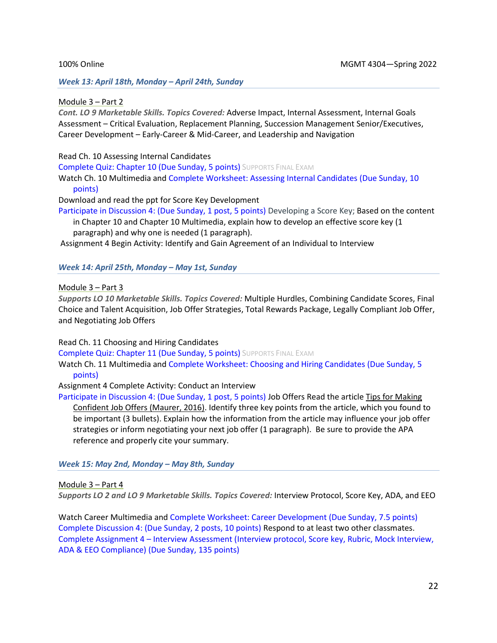#### *Week 13: April 18th, Monday – April 24th, Sunday*

#### Module 3 – Part 2

*Cont. LO 9 Marketable Skills. Topics Covered:* Adverse Impact, Internal Assessment, Internal Goals Assessment – Critical Evaluation, Replacement Planning, Succession Management Senior/Executives, Career Development – Early-Career & Mid-Career, and Leadership and Navigation

Read Ch. 10 Assessing Internal Candidates

Complete Quiz: Chapter 10 (Due Sunday, 5 points) SUPPORTS FINAL EXAM

Watch Ch. 10 Multimedia and Complete Worksheet: Assessing Internal Candidates (Due Sunday, 10 points)

Download and read the ppt for Score Key Development

Participate in Discussion 4: (Due Sunday, 1 post, 5 points) Developing a Score Key; Based on the content in Chapter 10 and Chapter 10 Multimedia, explain how to develop an effective score key (1 paragraph) and why one is needed (1 paragraph).

Assignment 4 Begin Activity: Identify and Gain Agreement of an Individual to Interview

#### *Week 14: April 25th, Monday – May 1st, Sunday*

Module 3 – Part 3

*Supports LO 10 Marketable Skills. Topics Covered:* Multiple Hurdles, Combining Candidate Scores, Final Choice and Talent Acquisition, Job Offer Strategies, Total Rewards Package, Legally Compliant Job Offer, and Negotiating Job Offers

Read Ch. 11 Choosing and Hiring Candidates

Complete Quiz: Chapter 11 (Due Sunday, 5 points) SUPPORTS FINAL EXAM

Watch Ch. 11 Multimedia and Complete Worksheet: Choosing and Hiring Candidates (Due Sunday, 5 points)

Assignment 4 Complete Activity: Conduct an Interview

Participate in Discussion 4: (Due Sunday, 1 post, 5 points) Job Offers Read the articl[e Tips for Making](https://www.shrm.org/resourcesandtools/hr-topics/talent-acquisition/pages/tips-making-job-offers.aspx)  [Confident Job Offers \(Maurer, 2016\).](https://www.shrm.org/resourcesandtools/hr-topics/talent-acquisition/pages/tips-making-job-offers.aspx) Identify three key points from the article, which you found to be important (3 bullets). Explain how the information from the article may influence your job offer strategies or inform negotiating your next job offer (1 paragraph). Be sure to provide the APA reference and properly cite your summary.

*Week 15: May 2nd, Monday – May 8th, Sunday* 

Module 3 – Part 4

*Supports LO 2 and LO 9 Marketable Skills. Topics Covered:* Interview Protocol, Score Key, ADA, and EEO

Watch Career Multimedia and Complete Worksheet: Career Development (Due Sunday, 7.5 points) Complete Discussion 4: (Due Sunday, 2 posts, 10 points) Respond to at least two other classmates. Complete Assignment 4 – Interview Assessment (Interview protocol, Score key, Rubric, Mock Interview, ADA & EEO Compliance) (Due Sunday, 135 points)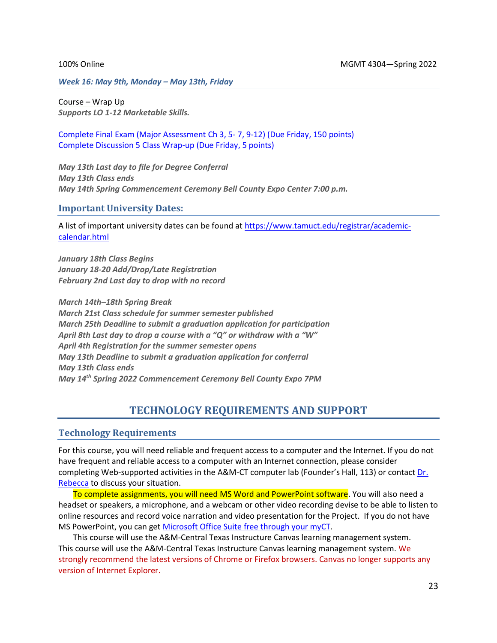*Week 16: May 9th, Monday – May 13th, Friday* 

Course – Wrap Up *Supports LO 1-12 Marketable Skills.*

Complete Final Exam (Major Assessment Ch 3, 5- 7, 9-12) (Due Friday, 150 points) Complete Discussion 5 Class Wrap-up (Due Friday, 5 points)

*May 13th Last day to file for Degree Conferral May 13th Class ends May 14th Spring Commencement Ceremony Bell County Expo Center 7:00 p.m.* 

#### **Important University Dates:**

A list of important university dates can be found at [https://www.tamuct.edu/registrar/academic](https://www.tamuct.edu/registrar/academic-calendar.html)[calendar.html](https://www.tamuct.edu/registrar/academic-calendar.html)

*January 18th Class Begins January 18-20 Add/Drop/Late Registration February 2nd Last day to drop with no record*

*March 14th–18th Spring Break March 21st Class schedule for summer semester published March 25th Deadline to submit a graduation application for participation April 8th Last day to drop a course with a "Q" or withdraw with a "W" April 4th Registration for the summer semester opens May 13th Deadline to submit a graduation application for conferral May 13th Class ends May 14th Spring 2022 Commencement Ceremony Bell County Expo 7PM*

# **TECHNOLOGY REQUIREMENTS AND SUPPORT**

### **Technology Requirements**

For this course, you will need reliable and frequent access to a computer and the Internet. If you do not have frequent and reliable access to a computer with an Internet connection, please consider completing Web-supported activities in the A&M-CT computer lab (Founder's Hall, 113) or contact [Dr.](mailto:becca.mcpherson@tamuct.edu)  [Rebecca](mailto:becca.mcpherson@tamuct.edu) to discuss your situation.

To complete assignments, you will need MS Word and PowerPoint software. You will also need a headset or speakers, a microphone, and a webcam or other video recording devise to be able to listen to online resources and record voice narration and video presentation for the Project. If you do not have MS PowerPoint, you can get [Microsoft Office Suite free through your myCT.](https://www.tamuct.edu/departments/technology-enhanced-learning/online-learning.php)

This course will use the A&M-Central Texas Instructure Canvas learning management system. This course will use the A&M-Central Texas Instructure Canvas learning management system. We strongly recommend the latest versions of Chrome or Firefox browsers. Canvas no longer supports any version of Internet Explorer.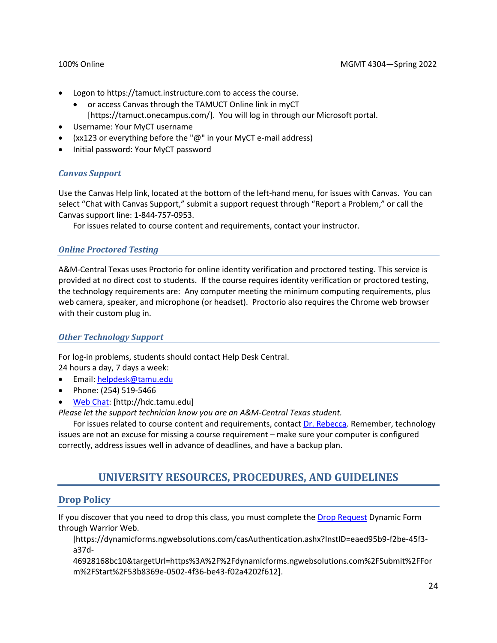- Logon to https://tamuct.instructure.com to access the course.
	- or access Canvas through the TAMUCT Online link in myCT [https://tamuct.onecampus.com/]. You will log in through our Microsoft portal.
- Username: Your MyCT username
- (xx123 or everything before the " $@$ " in your MyCT e-mail address)
- Initial password: Your MyCT password

### *Canvas Support*

Use the Canvas Help link, located at the bottom of the left-hand menu, for issues with Canvas. You can select "Chat with Canvas Support," submit a support request through "Report a Problem," or call the Canvas support line: 1-844-757-0953.

For issues related to course content and requirements, contact your instructor.

### *Online Proctored Testing*

A&M-Central Texas uses Proctorio for online identity verification and proctored testing. This service is provided at no direct cost to students. If the course requires identity verification or proctored testing, the technology requirements are: Any computer meeting the minimum computing requirements, plus web camera, speaker, and microphone (or headset). Proctorio also requires the Chrome web browser with their custom plug in.

### *Other Technology Support*

For log-in problems, students should contact Help Desk Central. 24 hours a day, 7 days a week:

- Email: [helpdesk@tamu.edu](mailto:helpdesk@tamu.edu)
- Phone: (254) 519-5466
- [Web Chat:](http://hdc.tamu.edu/) [http://hdc.tamu.edu]
- *Please let the support technician know you are an A&M-Central Texas student.*

For issues related to course content and requirements, contact [Dr. Rebecca.](mailto:becca.mcpherson@tamuct.edu) Remember, technology issues are not an excuse for missing a course requirement – make sure your computer is configured correctly, address issues well in advance of deadlines, and have a backup plan.

# **UNIVERSITY RESOURCES, PROCEDURES, AND GUIDELINES**

# **Drop Policy**

If you discover that you need to drop this class, you must complete the [Drop Request](https://dynamicforms.ngwebsolutions.com/casAuthentication.ashx?InstID=eaed95b9-f2be-45f3-a37d-46928168bc10&targetUrl=https%3A%2F%2Fdynamicforms.ngwebsolutions.com%2FSubmit%2FForm%2FStart%2F53b8369e-0502-4f36-be43-f02a4202f612) Dynamic Form through Warrior Web.

[https://dynamicforms.ngwebsolutions.com/casAuthentication.ashx?InstID=eaed95b9-f2be-45f3 a37d-

46928168bc10&targetUrl=https%3A%2F%2Fdynamicforms.ngwebsolutions.com%2FSubmit%2FFor m%2FStart%2F53b8369e-0502-4f36-be43-f02a4202f612].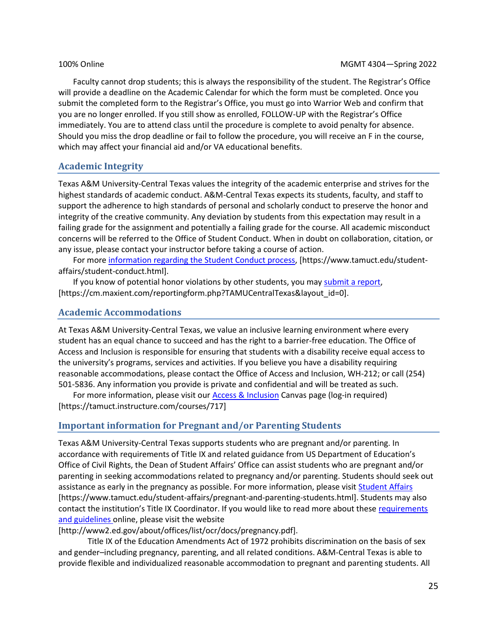Faculty cannot drop students; this is always the responsibility of the student. The Registrar's Office will provide a deadline on the Academic Calendar for which the form must be completed. Once you submit the completed form to the Registrar's Office, you must go into Warrior Web and confirm that you are no longer enrolled. If you still show as enrolled, FOLLOW-UP with the Registrar's Office immediately. You are to attend class until the procedure is complete to avoid penalty for absence. Should you miss the drop deadline or fail to follow the procedure, you will receive an F in the course, which may affect your financial aid and/or VA educational benefits.

# **Academic Integrity**

Texas A&M University-Central Texas values the integrity of the academic enterprise and strives for the highest standards of academic conduct. A&M-Central Texas expects its students, faculty, and staff to support the adherence to high standards of personal and scholarly conduct to preserve the honor and integrity of the creative community. Any deviation by students from this expectation may result in a failing grade for the assignment and potentially a failing grade for the course. All academic misconduct concerns will be referred to the Office of Student Conduct. When in doubt on collaboration, citation, or any issue, please contact your instructor before taking a course of action.

For more [information](https://nam04.safelinks.protection.outlook.com/?url=https%3A%2F%2Fwww.tamuct.edu%2Fstudent-affairs%2Fstudent-conduct.html&data=04%7C01%7Clisa.bunkowski%40tamuct.edu%7Ccfb6e486f24745f53e1a08d910055cb2%7C9eed4e3000f744849ff193ad8005acec%7C0%7C0%7C637558437485252160%7CUnknown%7CTWFpbGZsb3d8eyJWIjoiMC4wLjAwMDAiLCJQIjoiV2luMzIiLCJBTiI6Ik1haWwiLCJXVCI6Mn0%3D%7C1000&sdata=yjftDEVHvLX%2FhM%2FcFU0B99krV1RgEWR%2BJ%2BhvtoR6TYk%3D&reserved=0) regarding the Student Conduct process, [https://www.tamuct.edu/studentaffairs/student-conduct.html].

If you know of potential honor violations by other students, you may [submit](https://nam04.safelinks.protection.outlook.com/?url=https%3A%2F%2Fcm.maxient.com%2Freportingform.php%3FTAMUCentralTexas%26layout_id%3D0&data=04%7C01%7Clisa.bunkowski%40tamuct.edu%7Ccfb6e486f24745f53e1a08d910055cb2%7C9eed4e3000f744849ff193ad8005acec%7C0%7C0%7C637558437485262157%7CUnknown%7CTWFpbGZsb3d8eyJWIjoiMC4wLjAwMDAiLCJQIjoiV2luMzIiLCJBTiI6Ik1haWwiLCJXVCI6Mn0%3D%7C1000&sdata=CXGkOa6uPDPX1IMZ87z3aZDq2n91xfHKu4MMS43Ejjk%3D&reserved=0) a report, [https://cm.maxient.com/reportingform.php?TAMUCentralTexas&layout\_id=0].

# **Academic Accommodations**

At Texas A&M University-Central Texas, we value an inclusive learning environment where every student has an equal chance to succeed and has the right to a barrier-free education. The Office of Access and Inclusion is responsible for ensuring that students with a disability receive equal access to the university's programs, services and activities. If you believe you have a disability requiring reasonable accommodations, please contact the Office of Access and Inclusion, WH-212; or call (254) 501-5836. Any information you provide is private and confidential and will be treated as such.

For more information, please visit our **Access & Inclusion Canvas page (log-in required)** [https://tamuct.instructure.com/courses/717]

# **Important information for Pregnant and/or Parenting Students**

Texas A&M University-Central Texas supports students who are pregnant and/or parenting. In accordance with requirements of Title IX and related guidance from US Department of Education's Office of Civil Rights, the Dean of Student Affairs' Office can assist students who are pregnant and/or parenting in seeking accommodations related to pregnancy and/or parenting. Students should seek out assistance as early in the pregnancy as possible. For more information, please visi[t Student Affairs](https://www.tamuct.edu/student-affairs/pregnant-and-parenting-students.html) [https://www.tamuct.edu/student-affairs/pregnant-and-parenting-students.html]. Students may also contact the institution's Title IX Coordinator. If you would like to read more about these requirements [and guidelines](http://www2.ed.gov/about/offices/list/ocr/docs/pregnancy.pdf) online, please visit the website

### [http://www2.ed.gov/about/offices/list/ocr/docs/pregnancy.pdf].

Title IX of the Education Amendments Act of 1972 prohibits discrimination on the basis of sex and gender–including pregnancy, parenting, and all related conditions. A&M-Central Texas is able to provide flexible and individualized reasonable accommodation to pregnant and parenting students. All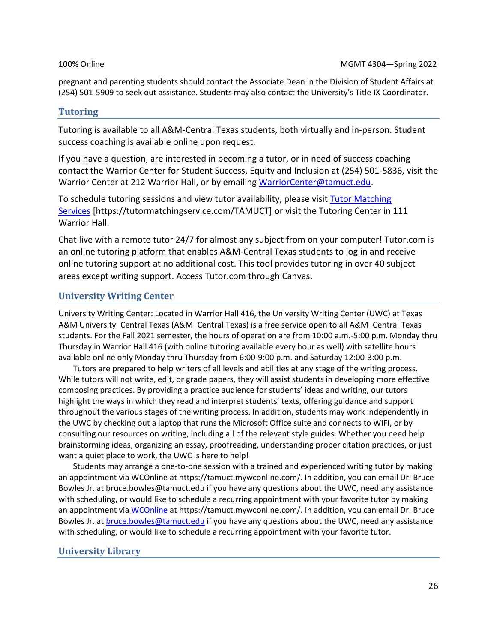pregnant and parenting students should contact the Associate Dean in the Division of Student Affairs at (254) 501-5909 to seek out assistance. Students may also contact the University's Title IX Coordinator.

# **Tutoring**

Tutoring is available to all A&M-Central Texas students, both virtually and in-person. Student success coaching is available online upon request.

If you have a question, are interested in becoming a tutor, or in need of success coaching contact the Warrior Center for Student Success, Equity and Inclusion at (254) 501-5836, visit the Warrior Center at 212 Warrior Hall, or by emailing [WarriorCenter@tamuct.edu.](mailto:WarriorCenter@tamuct.edu)

To schedule tutoring sessions and view tutor availability, please visit Tutor [Matching](https://tutormatchingservice.com/TAMUCT) [Services](https://tutormatchingservice.com/TAMUCT) [https://tutormatchingservice.com/TAMUCT] or visit the Tutoring Center in 111 Warrior Hall.

Chat live with a remote tutor 24/7 for almost any subject from on your computer! Tutor.com is an online tutoring platform that enables A&M-Central Texas students to log in and receive online tutoring support at no additional cost. This tool provides tutoring in over 40 subject areas except writing support. Access Tutor.com through Canvas.

# **University Writing Center**

University Writing Center: Located in Warrior Hall 416, the University Writing Center (UWC) at Texas A&M University–Central Texas (A&M–Central Texas) is a free service open to all A&M–Central Texas students. For the Fall 2021 semester, the hours of operation are from 10:00 a.m.-5:00 p.m. Monday thru Thursday in Warrior Hall 416 (with online tutoring available every hour as well) with satellite hours available online only Monday thru Thursday from 6:00-9:00 p.m. and Saturday 12:00-3:00 p.m.

Tutors are prepared to help writers of all levels and abilities at any stage of the writing process. While tutors will not write, edit, or grade papers, they will assist students in developing more effective composing practices. By providing a practice audience for students' ideas and writing, our tutors highlight the ways in which they read and interpret students' texts, offering guidance and support throughout the various stages of the writing process. In addition, students may work independently in the UWC by checking out a laptop that runs the Microsoft Office suite and connects to WIFI, or by consulting our resources on writing, including all of the relevant style guides. Whether you need help brainstorming ideas, organizing an essay, proofreading, understanding proper citation practices, or just want a quiet place to work, the UWC is here to help!

Students may arrange a one-to-one session with a trained and experienced writing tutor by making an appointment via WCOnline at https://tamuct.mywconline.com/. In addition, you can email Dr. Bruce Bowles Jr. at bruce.bowles@tamuct.edu if you have any questions about the UWC, need any assistance with scheduling, or would like to schedule a recurring appointment with your favorite tutor by making an appointment vi[a WCOnline](https://tamuct.mywconline.com/) at https://tamuct.mywconline.com/. In addition, you can email Dr. Bruce Bowles Jr. a[t bruce.bowles@tamuct.edu](mailto:bruce.bowles@tamuct.edu) if you have any questions about the UWC, need any assistance with scheduling, or would like to schedule a recurring appointment with your favorite tutor.

# **University Library**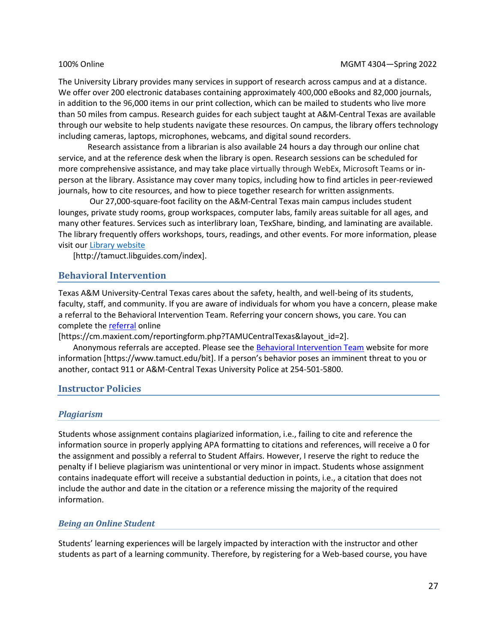<span id="page-26-0"></span>The University Library provides many services in support of research across campus and at a distance. We offer over 200 electronic databases containing approximately 400,000 eBooks and 82,000 journals, in addition to the 96,000 items in our print collection, which can be mailed to students who live more than 50 miles from campus. Research guides for each subject taught at A&M-Central Texas are available through our website to help students navigate these resources. On campus, the library offers technology including cameras, laptops, microphones, webcams, and digital sound recorders.

Research assistance from a librarian is also available 24 hours a day through our online chat service, and at the reference desk when the library is open. Research sessions can be scheduled for more comprehensive assistance, and may take place virtually through WebEx, Microsoft Teams or inperson at the library. Assistance may cover many topics, including how to find articles in peer-reviewed journals, how to cite resources, and how to piece together research for written assignments.

Our 27,000-square-foot facility on the A&M-Central Texas main campus includes student lounges, private study rooms, group workspaces, computer labs, family areas suitable for all ages, and many other features. Services such as interlibrary loan, TexShare, binding, and laminating are available. The library frequently offers workshops, tours, readings, and other events. For more information, please visit our Library [website](https://nam04.safelinks.protection.outlook.com/?url=https%3A%2F%2Ftamuct.libguides.com%2Findex&data=04%7C01%7Clisa.bunkowski%40tamuct.edu%7C7d8489e8839a4915335f08d916f067f2%7C9eed4e3000f744849ff193ad8005acec%7C0%7C0%7C637566044056484222%7CUnknown%7CTWFpbGZsb3d8eyJWIjoiMC4wLjAwMDAiLCJQIjoiV2luMzIiLCJBTiI6Ik1haWwiLCJXVCI6Mn0%3D%7C1000&sdata=2R755V6rcIyedGrd4Os5rkgn1PvhHKU3kUV1vBKiHFo%3D&reserved=0)

[http://tamuct.libguides.com/index].

### **Behavioral Intervention**

Texas A&M University-Central Texas cares about the safety, health, and well-being of its students, faculty, staff, and community. If you are aware of individuals for whom you have a concern, please make a referral to the Behavioral Intervention Team. Referring your concern shows, you care. You can complete the **referral** online

[https://cm.maxient.com/reportingform.php?TAMUCentralTexas&layout\_id=2].

Anonymous referrals are accepted. Please see th[e Behavioral Intervention Team](https://www.tamuct.edu/bit) website for more information [https://www.tamuct.edu/bit]. If a person's behavior poses an imminent threat to you or another, contact 911 or A&M-Central Texas University Police at 254-501-5800.

### **Instructor Policies**

#### *Plagiarism*

Students whose assignment contains plagiarized information, i.e., failing to cite and reference the information source in properly applying APA formatting to citations and references, will receive a 0 for the assignment and possibly a referral to Student Affairs. However, I reserve the right to reduce the penalty if I believe plagiarism was unintentional or very minor in impact. Students whose assignment contains inadequate effort will receive a substantial deduction in points, i.e., a citation that does not include the author and date in the citation or a reference missing the majority of the required information.

### *Being an Online Student*

Students' learning experiences will be largely impacted by interaction with the instructor and other students as part of a learning community. Therefore, by registering for a Web-based course, you have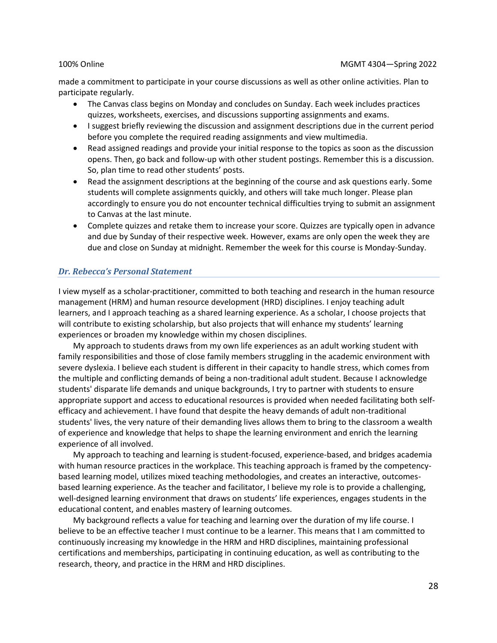made a commitment to participate in your course discussions as well as other online activities. Plan to participate regularly.

- The Canvas class begins on Monday and concludes on Sunday. Each week includes practices quizzes, worksheets, exercises, and discussions supporting assignments and exams.
- I suggest briefly reviewing the discussion and assignment descriptions due in the current period before you complete the required reading assignments and view multimedia.
- Read assigned readings and provide your initial response to the topics as soon as the discussion opens. Then, go back and follow-up with other student postings. Remember this is a discussion. So, plan time to read other students' posts.
- Read the assignment descriptions at the beginning of the course and ask questions early. Some students will complete assignments quickly, and others will take much longer. Please plan accordingly to ensure you do not encounter technical difficulties trying to submit an assignment to Canvas at the last minute.
- Complete quizzes and retake them to increase your score. Quizzes are typically open in advance and due by Sunday of their respective week. However, exams are only open the week they are due and close on Sunday at midnight. Remember the week for this course is Monday-Sunday.

### *Dr. Rebecca's Personal Statement*

I view myself as a scholar-practitioner, committed to both teaching and research in the human resource management (HRM) and human resource development (HRD) disciplines. I enjoy teaching adult learners, and I approach teaching as a shared learning experience. As a scholar, I choose projects that will contribute to existing scholarship, but also projects that will enhance my students' learning experiences or broaden my knowledge within my chosen disciplines.

My approach to students draws from my own life experiences as an adult working student with family responsibilities and those of close family members struggling in the academic environment with severe dyslexia. I believe each student is different in their capacity to handle stress, which comes from the multiple and conflicting demands of being a non-traditional adult student. Because I acknowledge students' disparate life demands and unique backgrounds, I try to partner with students to ensure appropriate support and access to educational resources is provided when needed facilitating both selfefficacy and achievement. I have found that despite the heavy demands of adult non-traditional students' lives, the very nature of their demanding lives allows them to bring to the classroom a wealth of experience and knowledge that helps to shape the learning environment and enrich the learning experience of all involved.

My approach to teaching and learning is student-focused, experience-based, and bridges academia with human resource practices in the workplace. This teaching approach is framed by the competencybased learning model, utilizes mixed teaching methodologies, and creates an interactive, outcomesbased learning experience. As the teacher and facilitator, I believe my role is to provide a challenging, well-designed learning environment that draws on students' life experiences, engages students in the educational content, and enables mastery of learning outcomes.

My background reflects a value for teaching and learning over the duration of my life course. I believe to be an effective teacher I must continue to be a learner. This means that I am committed to continuously increasing my knowledge in the HRM and HRD disciplines, maintaining professional certifications and memberships, participating in continuing education, as well as contributing to the research, theory, and practice in the HRM and HRD disciplines.